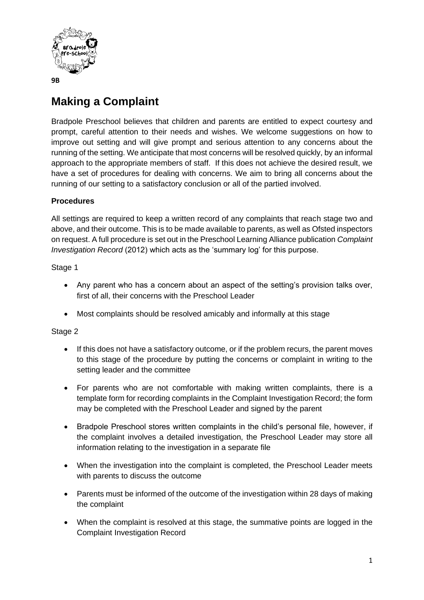

# **Making a Complaint**

Bradpole Preschool believes that children and parents are entitled to expect courtesy and prompt, careful attention to their needs and wishes. We welcome suggestions on how to improve out setting and will give prompt and serious attention to any concerns about the running of the setting. We anticipate that most concerns will be resolved quickly, by an informal approach to the appropriate members of staff. If this does not achieve the desired result, we have a set of procedures for dealing with concerns. We aim to bring all concerns about the running of our setting to a satisfactory conclusion or all of the partied involved.

# **Procedures**

All settings are required to keep a written record of any complaints that reach stage two and above, and their outcome. This is to be made available to parents, as well as Ofsted inspectors on request. A full procedure is set out in the Preschool Learning Alliance publication *Complaint Investigation Record* (2012) which acts as the 'summary log' for this purpose.

### Stage 1

- Any parent who has a concern about an aspect of the setting's provision talks over, first of all, their concerns with the Preschool Leader
- Most complaints should be resolved amicably and informally at this stage

#### Stage 2

- If this does not have a satisfactory outcome, or if the problem recurs, the parent moves to this stage of the procedure by putting the concerns or complaint in writing to the setting leader and the committee
- For parents who are not comfortable with making written complaints, there is a template form for recording complaints in the Complaint Investigation Record; the form may be completed with the Preschool Leader and signed by the parent
- Bradpole Preschool stores written complaints in the child's personal file, however, if the complaint involves a detailed investigation, the Preschool Leader may store all information relating to the investigation in a separate file
- When the investigation into the complaint is completed, the Preschool Leader meets with parents to discuss the outcome
- Parents must be informed of the outcome of the investigation within 28 days of making the complaint
- When the complaint is resolved at this stage, the summative points are logged in the Complaint Investigation Record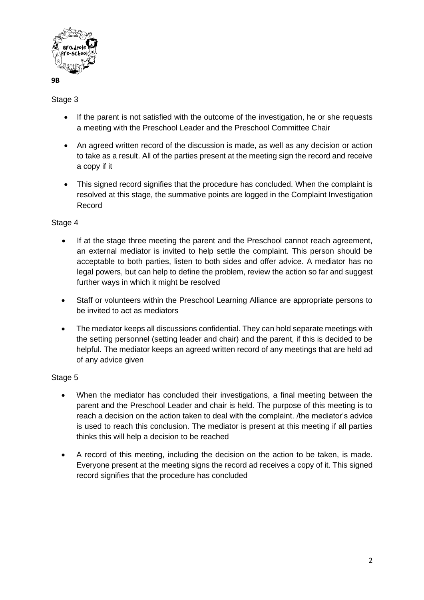

**9B**

# Stage 3

- If the parent is not satisfied with the outcome of the investigation, he or she requests a meeting with the Preschool Leader and the Preschool Committee Chair
- An agreed written record of the discussion is made, as well as any decision or action to take as a result. All of the parties present at the meeting sign the record and receive a copy if it
- This signed record signifies that the procedure has concluded. When the complaint is resolved at this stage, the summative points are logged in the Complaint Investigation Record

# Stage 4

- If at the stage three meeting the parent and the Preschool cannot reach agreement, an external mediator is invited to help settle the complaint. This person should be acceptable to both parties, listen to both sides and offer advice. A mediator has no legal powers, but can help to define the problem, review the action so far and suggest further ways in which it might be resolved
- Staff or volunteers within the Preschool Learning Alliance are appropriate persons to be invited to act as mediators
- The mediator keeps all discussions confidential. They can hold separate meetings with the setting personnel (setting leader and chair) and the parent, if this is decided to be helpful. The mediator keeps an agreed written record of any meetings that are held ad of any advice given

### Stage 5

- When the mediator has concluded their investigations, a final meeting between the parent and the Preschool Leader and chair is held. The purpose of this meeting is to reach a decision on the action taken to deal with the complaint. /the mediator's advice is used to reach this conclusion. The mediator is present at this meeting if all parties thinks this will help a decision to be reached
- A record of this meeting, including the decision on the action to be taken, is made. Everyone present at the meeting signs the record ad receives a copy of it. This signed record signifies that the procedure has concluded